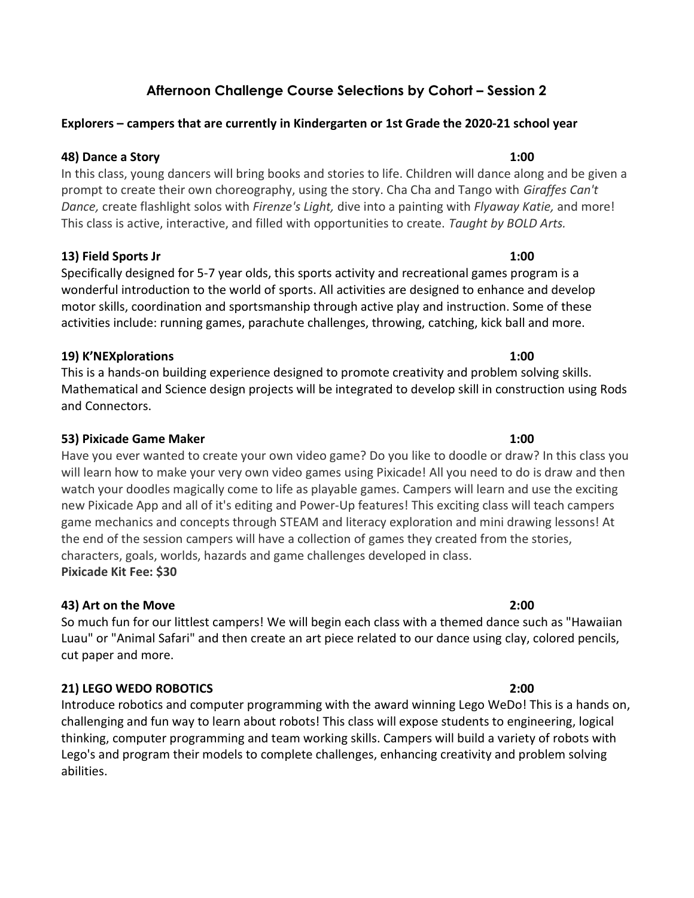# Afternoon Challenge Course Selections by Cohort – Session 2

### Explorers – campers that are currently in Kindergarten or 1st Grade the 2020-21 school year

### 48) Dance a Story 1:00

In this class, young dancers will bring books and stories to life. Children will dance along and be given a prompt to create their own choreography, using the story. Cha Cha and Tango with *Giraffes Can't* Dance, create flashlight solos with Firenze's Light, dive into a painting with Flyaway Katie, and more! This class is active, interactive, and filled with opportunities to create. Taught by BOLD Arts.

### 13) Field Sports Jr 1:00

Specifically designed for 5-7 year olds, this sports activity and recreational games program is a wonderful introduction to the world of sports. All activities are designed to enhance and develop motor skills, coordination and sportsmanship through active play and instruction. Some of these activities include: running games, parachute challenges, throwing, catching, kick ball and more.

## 19) K'NEXplorations 1:00

This is a hands-on building experience designed to promote creativity and problem solving skills. Mathematical and Science design projects will be integrated to develop skill in construction using Rods and Connectors.

## 53) Pixicade Game Maker 1:00

Have you ever wanted to create your own video game? Do you like to doodle or draw? In this class you will learn how to make your very own video games using Pixicade! All you need to do is draw and then watch your doodles magically come to life as playable games. Campers will learn and use the exciting new Pixicade App and all of it's editing and Power-Up features! This exciting class will teach campers game mechanics and concepts through STEAM and literacy exploration and mini drawing lessons! At the end of the session campers will have a collection of games they created from the stories, characters, goals, worlds, hazards and game challenges developed in class. Pixicade Kit Fee: \$30

# 43) Art on the Move 2:00

So much fun for our littlest campers! We will begin each class with a themed dance such as "Hawaiian Luau" or "Animal Safari" and then create an art piece related to our dance using clay, colored pencils, cut paper and more.

# 21) LEGO WEDO ROBOTICS 2:00

Introduce robotics and computer programming with the award winning Lego WeDo! This is a hands on, challenging and fun way to learn about robots! This class will expose students to engineering, logical thinking, computer programming and team working skills. Campers will build a variety of robots with Lego's and program their models to complete challenges, enhancing creativity and problem solving abilities.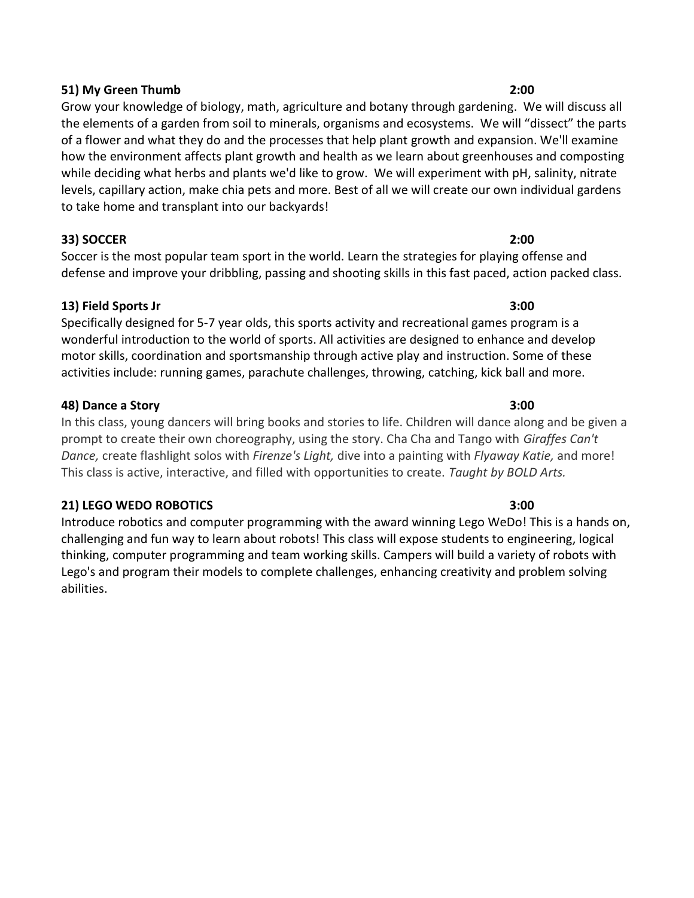### 51) My Green Thumb 2:00

Grow your knowledge of biology, math, agriculture and botany through gardening. We will discuss all the elements of a garden from soil to minerals, organisms and ecosystems. We will "dissect" the parts of a flower and what they do and the processes that help plant growth and expansion. We'll examine how the environment affects plant growth and health as we learn about greenhouses and composting while deciding what herbs and plants we'd like to grow. We will experiment with pH, salinity, nitrate levels, capillary action, make chia pets and more. Best of all we will create our own individual gardens to take home and transplant into our backyards!

### 33) SOCCER 2:00

Soccer is the most popular team sport in the world. Learn the strategies for playing offense and defense and improve your dribbling, passing and shooting skills in this fast paced, action packed class.

### 13) Field Sports Jr 3:00

Specifically designed for 5-7 year olds, this sports activity and recreational games program is a wonderful introduction to the world of sports. All activities are designed to enhance and develop motor skills, coordination and sportsmanship through active play and instruction. Some of these activities include: running games, parachute challenges, throwing, catching, kick ball and more.

### 48) Dance a Story 3:00

In this class, young dancers will bring books and stories to life. Children will dance along and be given a prompt to create their own choreography, using the story. Cha Cha and Tango with Giraffes Can't Dance, create flashlight solos with Firenze's Light, dive into a painting with Flyaway Katie, and more! This class is active, interactive, and filled with opportunities to create. Taught by BOLD Arts.

### 21) LEGO WEDO ROBOTICS 3:00

Introduce robotics and computer programming with the award winning Lego WeDo! This is a hands on, challenging and fun way to learn about robots! This class will expose students to engineering, logical thinking, computer programming and team working skills. Campers will build a variety of robots with Lego's and program their models to complete challenges, enhancing creativity and problem solving abilities.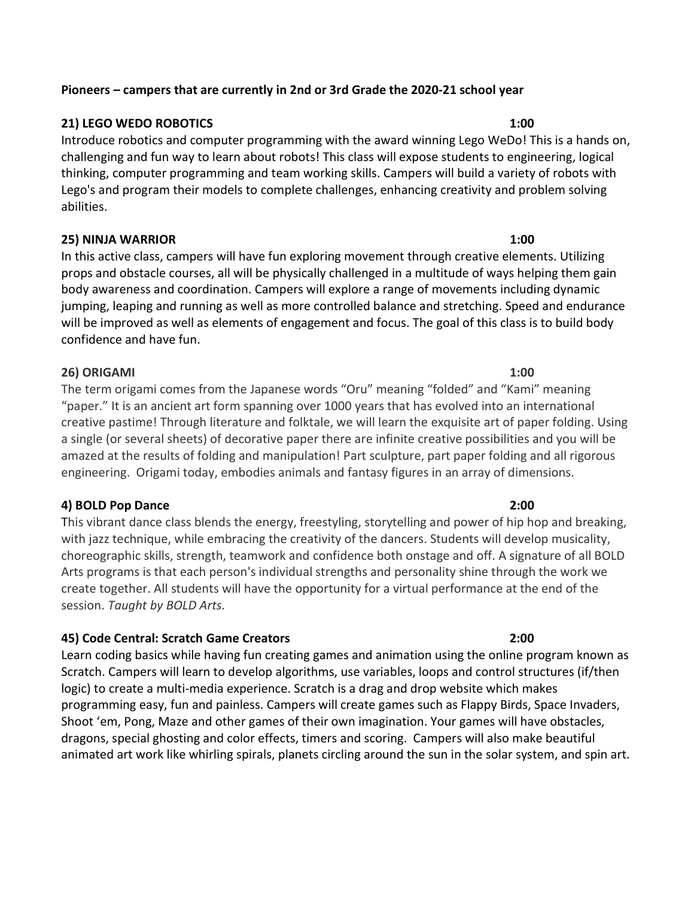### Pioneers – campers that are currently in 2nd or 3rd Grade the 2020-21 school year

### 21) LEGO WEDO ROBOTICS 1:00

Introduce robotics and computer programming with the award winning Lego WeDo! This is a hands on, challenging and fun way to learn about robots! This class will expose students to engineering, logical thinking, computer programming and team working skills. Campers will build a variety of robots with Lego's and program their models to complete challenges, enhancing creativity and problem solving abilities.

### 25) NINJA WARRIOR 1:00

In this active class, campers will have fun exploring movement through creative elements. Utilizing props and obstacle courses, all will be physically challenged in a multitude of ways helping them gain body awareness and coordination. Campers will explore a range of movements including dynamic jumping, leaping and running as well as more controlled balance and stretching. Speed and endurance will be improved as well as elements of engagement and focus. The goal of this class is to build body confidence and have fun.

### 26) ORIGAMI 1:00

The term origami comes from the Japanese words "Oru" meaning "folded" and "Kami" meaning "paper." It is an ancient art form spanning over 1000 years that has evolved into an international creative pastime! Through literature and folktale, we will learn the exquisite art of paper folding. Using a single (or several sheets) of decorative paper there are infinite creative possibilities and you will be amazed at the results of folding and manipulation! Part sculpture, part paper folding and all rigorous engineering. Origami today, embodies animals and fantasy figures in an array of dimensions.

### 4) BOLD Pop Dance 2:00

This vibrant dance class blends the energy, freestyling, storytelling and power of hip hop and breaking, with jazz technique, while embracing the creativity of the dancers. Students will develop musicality, choreographic skills, strength, teamwork and confidence both onstage and off. A signature of all BOLD Arts programs is that each person's individual strengths and personality shine through the work we create together. All students will have the opportunity for a virtual performance at the end of the session. Taught by BOLD Arts.

# 45) Code Central: Scratch Game Creators 2:00

Learn coding basics while having fun creating games and animation using the online program known as Scratch. Campers will learn to develop algorithms, use variables, loops and control structures (if/then logic) to create a multi-media experience. Scratch is a drag and drop website which makes programming easy, fun and painless. Campers will create games such as Flappy Birds, Space Invaders, Shoot 'em, Pong, Maze and other games of their own imagination. Your games will have obstacles, dragons, special ghosting and color effects, timers and scoring. Campers will also make beautiful animated art work like whirling spirals, planets circling around the sun in the solar system, and spin art.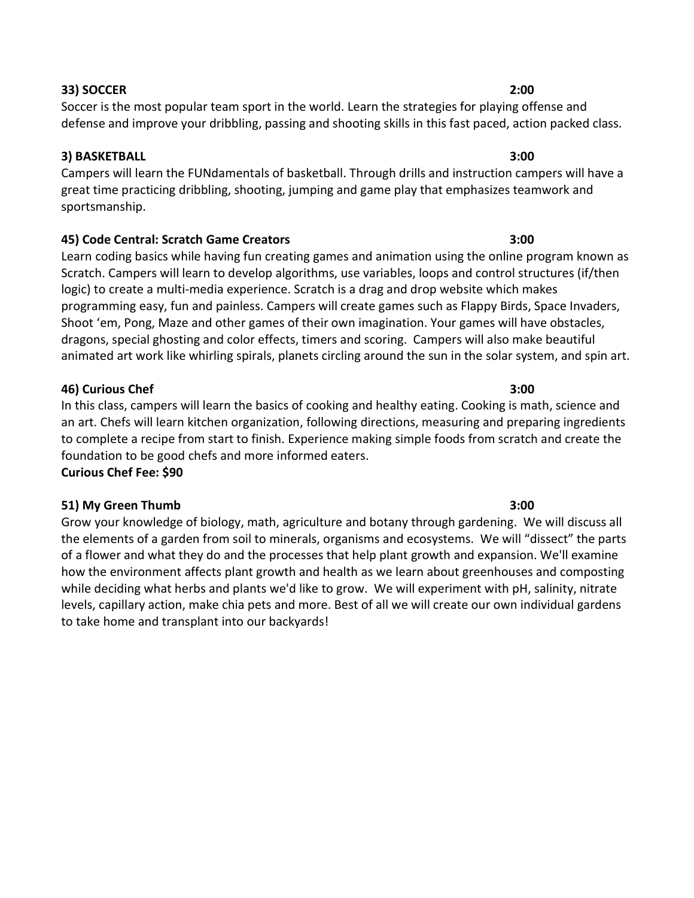### 33) SOCCER 2:00

### 3) BASKETBALL 3:00

Campers will learn the FUNdamentals of basketball. Through drills and instruction campers will have a great time practicing dribbling, shooting, jumping and game play that emphasizes teamwork and sportsmanship.

defense and improve your dribbling, passing and shooting skills in this fast paced, action packed class.

Soccer is the most popular team sport in the world. Learn the strategies for playing offense and

### 45) Code Central: Scratch Game Creators 3:00

Learn coding basics while having fun creating games and animation using the online program known as Scratch. Campers will learn to develop algorithms, use variables, loops and control structures (if/then logic) to create a multi-media experience. Scratch is a drag and drop website which makes programming easy, fun and painless. Campers will create games such as Flappy Birds, Space Invaders, Shoot 'em, Pong, Maze and other games of their own imagination. Your games will have obstacles, dragons, special ghosting and color effects, timers and scoring. Campers will also make beautiful animated art work like whirling spirals, planets circling around the sun in the solar system, and spin art.

### 46) Curious Chef 3:00

In this class, campers will learn the basics of cooking and healthy eating. Cooking is math, science and an art. Chefs will learn kitchen organization, following directions, measuring and preparing ingredients to complete a recipe from start to finish. Experience making simple foods from scratch and create the foundation to be good chefs and more informed eaters. Curious Chef Fee: \$90

### 51) My Green Thumb 3:00

Grow your knowledge of biology, math, agriculture and botany through gardening. We will discuss all the elements of a garden from soil to minerals, organisms and ecosystems. We will "dissect" the parts of a flower and what they do and the processes that help plant growth and expansion. We'll examine how the environment affects plant growth and health as we learn about greenhouses and composting while deciding what herbs and plants we'd like to grow. We will experiment with pH, salinity, nitrate levels, capillary action, make chia pets and more. Best of all we will create our own individual gardens to take home and transplant into our backyards!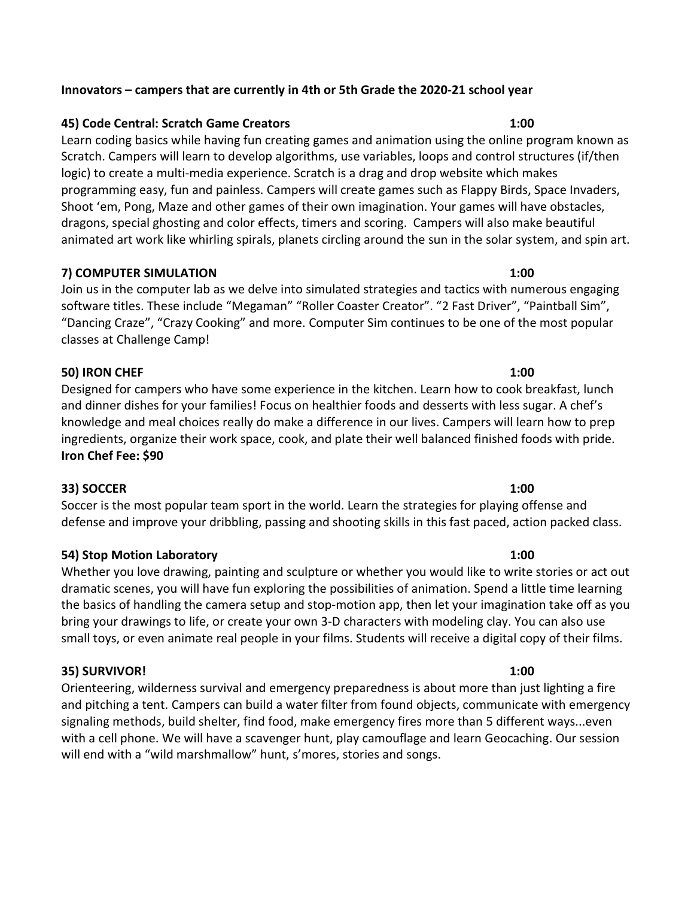### Innovators – campers that are currently in 4th or 5th Grade the 2020-21 school year

### 45) Code Central: Scratch Game Creators 1:00

Learn coding basics while having fun creating games and animation using the online program known as Scratch. Campers will learn to develop algorithms, use variables, loops and control structures (if/then logic) to create a multi-media experience. Scratch is a drag and drop website which makes programming easy, fun and painless. Campers will create games such as Flappy Birds, Space Invaders, Shoot 'em, Pong, Maze and other games of their own imagination. Your games will have obstacles, dragons, special ghosting and color effects, timers and scoring. Campers will also make beautiful animated art work like whirling spirals, planets circling around the sun in the solar system, and spin art.

### 7) COMPUTER SIMULATION 1:00

Join us in the computer lab as we delve into simulated strategies and tactics with numerous engaging software titles. These include "Megaman" "Roller Coaster Creator". "2 Fast Driver", "Paintball Sim", "Dancing Craze", "Crazy Cooking" and more. Computer Sim continues to be one of the most popular classes at Challenge Camp!

### 50) IRON CHEF 1:00

Designed for campers who have some experience in the kitchen. Learn how to cook breakfast, lunch and dinner dishes for your families! Focus on healthier foods and desserts with less sugar. A chef's knowledge and meal choices really do make a difference in our lives. Campers will learn how to prep ingredients, organize their work space, cook, and plate their well balanced finished foods with pride. Iron Chef Fee: \$90

### 33) SOCCER 1:00

Soccer is the most popular team sport in the world. Learn the strategies for playing offense and defense and improve your dribbling, passing and shooting skills in this fast paced, action packed class.

### 54) Stop Motion Laboratory 1:00

Whether you love drawing, painting and sculpture or whether you would like to write stories or act out dramatic scenes, you will have fun exploring the possibilities of animation. Spend a little time learning the basics of handling the camera setup and stop-motion app, then let your imagination take off as you bring your drawings to life, or create your own 3-D characters with modeling clay. You can also use small toys, or even animate real people in your films. Students will receive a digital copy of their films.

### 35) SURVIVOR! 1:00

Orienteering, wilderness survival and emergency preparedness is about more than just lighting a fire and pitching a tent. Campers can build a water filter from found objects, communicate with emergency signaling methods, build shelter, find food, make emergency fires more than 5 different ways...even with a cell phone. We will have a scavenger hunt, play camouflage and learn Geocaching. Our session will end with a "wild marshmallow" hunt, s'mores, stories and songs.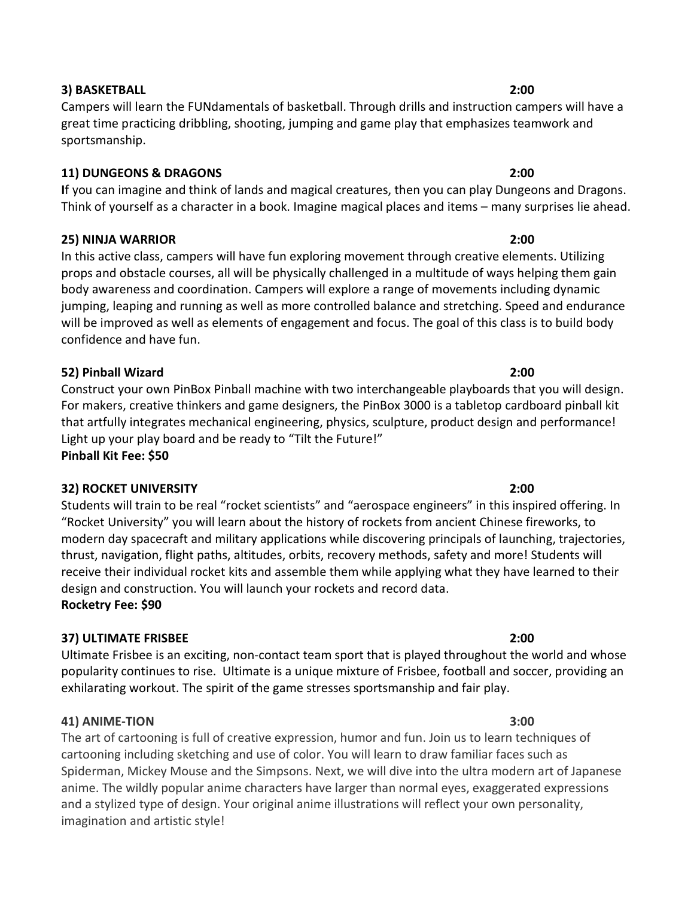### 3) BASKETBALL 2:00

Campers will learn the FUNdamentals of basketball. Through drills and instruction campers will have a great time practicing dribbling, shooting, jumping and game play that emphasizes teamwork and sportsmanship.

### 11) DUNGEONS & DRAGONS 2:00

If you can imagine and think of lands and magical creatures, then you can play Dungeons and Dragons. Think of yourself as a character in a book. Imagine magical places and items – many surprises lie ahead.

### 25) NINJA WARRIOR 2:00

In this active class, campers will have fun exploring movement through creative elements. Utilizing props and obstacle courses, all will be physically challenged in a multitude of ways helping them gain body awareness and coordination. Campers will explore a range of movements including dynamic jumping, leaping and running as well as more controlled balance and stretching. Speed and endurance will be improved as well as elements of engagement and focus. The goal of this class is to build body confidence and have fun.

## 52) Pinball Wizard 2:00

Construct your own PinBox Pinball machine with two interchangeable playboards that you will design. For makers, creative thinkers and game designers, the PinBox 3000 is a tabletop cardboard pinball kit that artfully integrates mechanical engineering, physics, sculpture, product design and performance! Light up your play board and be ready to "Tilt the Future!" Pinball Kit Fee: \$50

### 32) ROCKET UNIVERSITY 2:00

Students will train to be real "rocket scientists" and "aerospace engineers" in this inspired offering. In "Rocket University" you will learn about the history of rockets from ancient Chinese fireworks, to modern day spacecraft and military applications while discovering principals of launching, trajectories, thrust, navigation, flight paths, altitudes, orbits, recovery methods, safety and more! Students will receive their individual rocket kits and assemble them while applying what they have learned to their design and construction. You will launch your rockets and record data.

Rocketry Fee: \$90

### 37) ULTIMATE FRISBEE 2:00

Ultimate Frisbee is an exciting, non-contact team sport that is played throughout the world and whose popularity continues to rise. Ultimate is a unique mixture of Frisbee, football and soccer, providing an exhilarating workout. The spirit of the game stresses sportsmanship and fair play.

### 41) ANIME-TION 3:00

The art of cartooning is full of creative expression, humor and fun. Join us to learn techniques of cartooning including sketching and use of color. You will learn to draw familiar faces such as Spiderman, Mickey Mouse and the Simpsons. Next, we will dive into the ultra modern art of Japanese anime. The wildly popular anime characters have larger than normal eyes, exaggerated expressions and a stylized type of design. Your original anime illustrations will reflect your own personality, imagination and artistic style!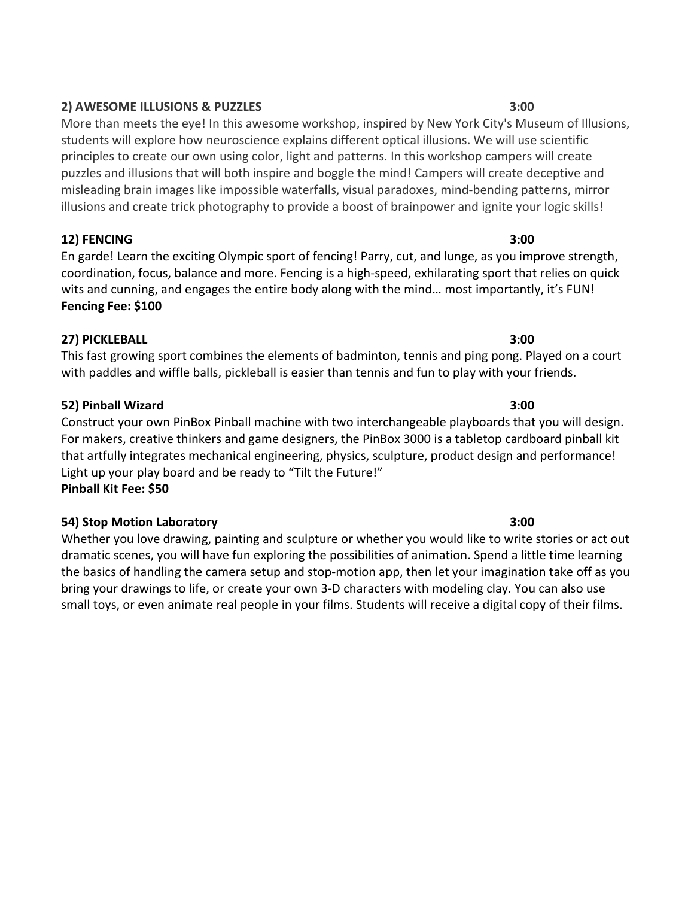# 2) AWESOME ILLUSIONS & PUZZLES 3:00

More than meets the eye! In this awesome workshop, inspired by New York City's Museum of Illusions, students will explore how neuroscience explains different optical illusions. We will use scientific principles to create our own using color, light and patterns. In this workshop campers will create puzzles and illusions that will both inspire and boggle the mind! Campers will create deceptive and misleading brain images like impossible waterfalls, visual paradoxes, mind-bending patterns, mirror illusions and create trick photography to provide a boost of brainpower and ignite your logic skills!

12) FENCING 3:00

En garde! Learn the exciting Olympic sport of fencing! Parry, cut, and lunge, as you improve strength, coordination, focus, balance and more. Fencing is a high-speed, exhilarating sport that relies on quick wits and cunning, and engages the entire body along with the mind… most importantly, it's FUN! Fencing Fee: \$100

# 27) PICKLEBALL 3:00

This fast growing sport combines the elements of badminton, tennis and ping pong. Played on a court with paddles and wiffle balls, pickleball is easier than tennis and fun to play with your friends.

# 52) Pinball Wizard 3:00

Construct your own PinBox Pinball machine with two interchangeable playboards that you will design. For makers, creative thinkers and game designers, the PinBox 3000 is a tabletop cardboard pinball kit that artfully integrates mechanical engineering, physics, sculpture, product design and performance! Light up your play board and be ready to "Tilt the Future!" Pinball Kit Fee: \$50

# 54) Stop Motion Laboratory 3:00

Whether you love drawing, painting and sculpture or whether you would like to write stories or act out dramatic scenes, you will have fun exploring the possibilities of animation. Spend a little time learning the basics of handling the camera setup and stop-motion app, then let your imagination take off as you bring your drawings to life, or create your own 3-D characters with modeling clay. You can also use small toys, or even animate real people in your films. Students will receive a digital copy of their films.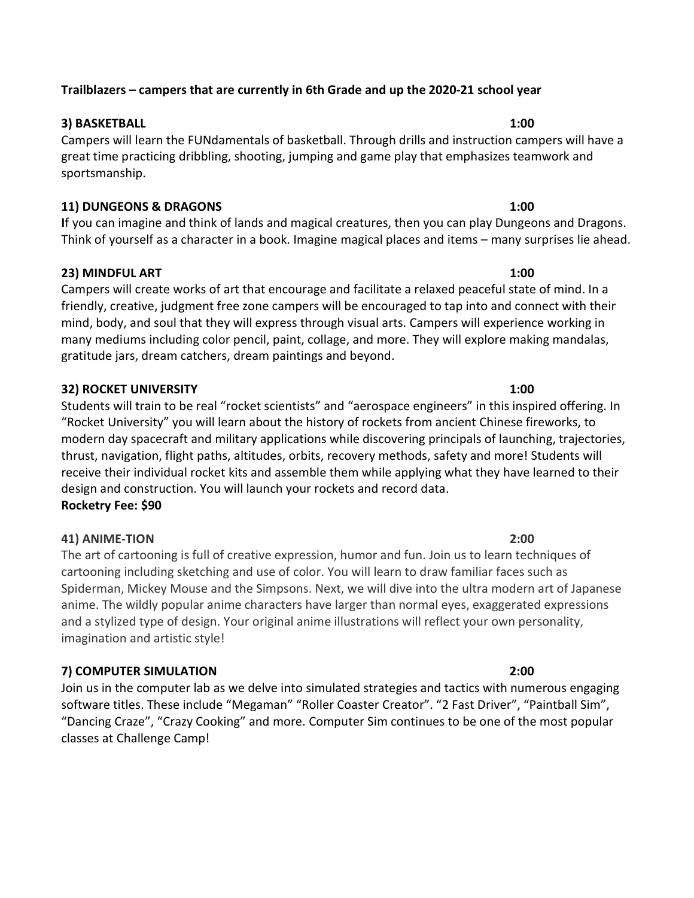# Trailblazers – campers that are currently in 6th Grade and up the 2020-21 school year

# 3) BASKETBALL 1:00

Campers will learn the FUNdamentals of basketball. Through drills and instruction campers will have a great time practicing dribbling, shooting, jumping and game play that emphasizes teamwork and sportsmanship.

# 11) DUNGEONS & DRAGONS 1:00

If you can imagine and think of lands and magical creatures, then you can play Dungeons and Dragons. Think of yourself as a character in a book. Imagine magical places and items – many surprises lie ahead.

# 23) MINDFUL ART 1:00

Campers will create works of art that encourage and facilitate a relaxed peaceful state of mind. In a friendly, creative, judgment free zone campers will be encouraged to tap into and connect with their mind, body, and soul that they will express through visual arts. Campers will experience working in many mediums including color pencil, paint, collage, and more. They will explore making mandalas, gratitude jars, dream catchers, dream paintings and beyond.

# 32) ROCKET UNIVERSITY 1:00

Students will train to be real "rocket scientists" and "aerospace engineers" in this inspired offering. In "Rocket University" you will learn about the history of rockets from ancient Chinese fireworks, to modern day spacecraft and military applications while discovering principals of launching, trajectories, thrust, navigation, flight paths, altitudes, orbits, recovery methods, safety and more! Students will receive their individual rocket kits and assemble them while applying what they have learned to their design and construction. You will launch your rockets and record data. Rocketry Fee: \$90

# 41) ANIME-TION 2:00

The art of cartooning is full of creative expression, humor and fun. Join us to learn techniques of cartooning including sketching and use of color. You will learn to draw familiar faces such as Spiderman, Mickey Mouse and the Simpsons. Next, we will dive into the ultra modern art of Japanese anime. The wildly popular anime characters have larger than normal eyes, exaggerated expressions and a stylized type of design. Your original anime illustrations will reflect your own personality, imagination and artistic style!

# 7) COMPUTER SIMULATION 2:00

Join us in the computer lab as we delve into simulated strategies and tactics with numerous engaging software titles. These include "Megaman" "Roller Coaster Creator". "2 Fast Driver", "Paintball Sim", "Dancing Craze", "Crazy Cooking" and more. Computer Sim continues to be one of the most popular classes at Challenge Camp!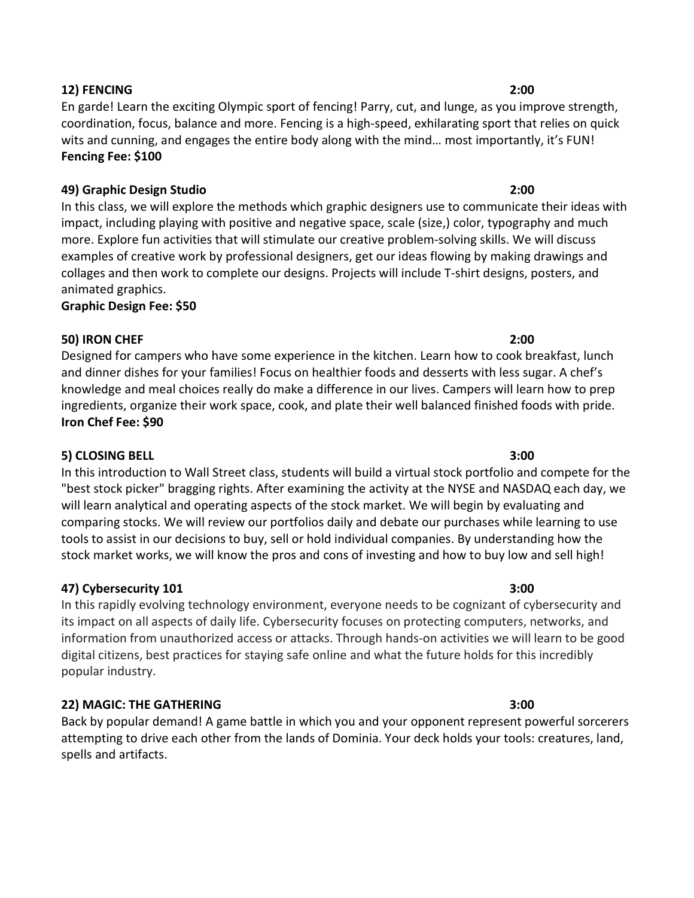# coordination, focus, balance and more. Fencing is a high-speed, exhilarating sport that relies on quick wits and cunning, and engages the entire body along with the mind… most importantly, it's FUN! Fencing Fee: \$100

En garde! Learn the exciting Olympic sport of fencing! Parry, cut, and lunge, as you improve strength,

# 49) Graphic Design Studio 2:00

In this class, we will explore the methods which graphic designers use to communicate their ideas with impact, including playing with positive and negative space, scale (size,) color, typography and much more. Explore fun activities that will stimulate our creative problem-solving skills. We will discuss examples of creative work by professional designers, get our ideas flowing by making drawings and collages and then work to complete our designs. Projects will include T-shirt designs, posters, and animated graphics.

Graphic Design Fee: \$50

# 50) IRON CHEF 2:00

Designed for campers who have some experience in the kitchen. Learn how to cook breakfast, lunch and dinner dishes for your families! Focus on healthier foods and desserts with less sugar. A chef's knowledge and meal choices really do make a difference in our lives. Campers will learn how to prep ingredients, organize their work space, cook, and plate their well balanced finished foods with pride. Iron Chef Fee: \$90

# 5) CLOSING BELL 3:00

In this introduction to Wall Street class, students will build a virtual stock portfolio and compete for the "best stock picker" bragging rights. After examining the activity at the NYSE and NASDAQ each day, we will learn analytical and operating aspects of the stock market. We will begin by evaluating and comparing stocks. We will review our portfolios daily and debate our purchases while learning to use tools to assist in our decisions to buy, sell or hold individual companies. By understanding how the stock market works, we will know the pros and cons of investing and how to buy low and sell high!

# 47) Cybersecurity 101 and the state of the state of the state of the state of the state of the state of the state of the state of the state of the state of the state of the state of the state of the state of the state of t

In this rapidly evolving technology environment, everyone needs to be cognizant of cybersecurity and its impact on all aspects of daily life. Cybersecurity focuses on protecting computers, networks, and information from unauthorized access or attacks. Through hands-on activities we will learn to be good digital citizens, best practices for staying safe online and what the future holds for this incredibly popular industry.

# 22) MAGIC: THE GATHERING 3:00

Back by popular demand! A game battle in which you and your opponent represent powerful sorcerers attempting to drive each other from the lands of Dominia. Your deck holds your tools: creatures, land, spells and artifacts.

# 12) FENCING 2:00